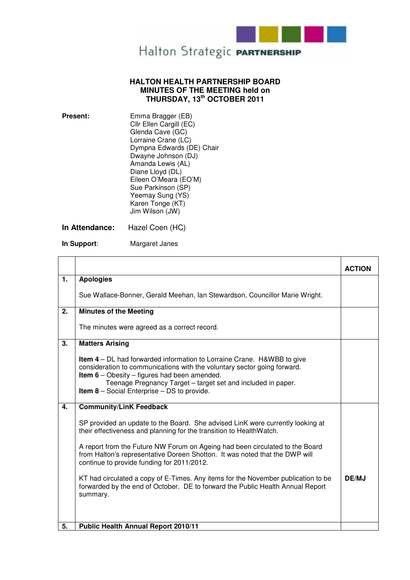

## **HALTON HEALTH PARTNERSHIP BOARD MINUTES OF THE MEETING held on THURSDAY, 13th OCTOBER 2011**

| <b>Present:</b> | Emma Bragger (EB)         |
|-----------------|---------------------------|
|                 | Cllr Ellen Cargill (EC)   |
|                 | Glenda Cave (GC)          |
|                 | Lorraine Crane (LC)       |
|                 | Dympna Edwards (DE) Chair |
|                 | Dwayne Johnson (DJ)       |
|                 | Amanda Lewis (AL)         |
|                 | Diane Lloyd (DL)          |
|                 | Eileen O'Meara (EO'M)     |
|                 | Sue Parkinson (SP)        |
|                 | Yeemay Sung (YS)          |
|                 | Karen Tonge (KT)          |
|                 | Jim Wilson (JW)           |
|                 |                           |

**In Attendance:** Hazel Coen (HC)

**In Support**: Margaret Janes

|              |                                                                                                                                                                                                                                                                                                                                        | <b>ACTION</b> |
|--------------|----------------------------------------------------------------------------------------------------------------------------------------------------------------------------------------------------------------------------------------------------------------------------------------------------------------------------------------|---------------|
| 1.           | <b>Apologies</b>                                                                                                                                                                                                                                                                                                                       |               |
|              | Sue Wallace-Bonner, Gerald Meehan, Ian Stewardson, Councillor Marie Wright.                                                                                                                                                                                                                                                            |               |
| 2.           | <b>Minutes of the Meeting</b>                                                                                                                                                                                                                                                                                                          |               |
|              | The minutes were agreed as a correct record.                                                                                                                                                                                                                                                                                           |               |
| 3.           | <b>Matters Arising</b>                                                                                                                                                                                                                                                                                                                 |               |
|              | <b>Item 4</b> – DL had forwarded information to Lorraine Crane. H&WBB to give<br>consideration to communications with the voluntary sector going forward.<br><b>Item 6</b> – Obesity – figures had been amended.<br>Teenage Pregnancy Target - target set and included in paper.<br><b>Item 8</b> – Social Enterprise – DS to provide. |               |
| $\mathbf{4}$ | <b>Community/LinK Feedback</b>                                                                                                                                                                                                                                                                                                         |               |
|              | SP provided an update to the Board. She advised LinK were currently looking at<br>their effectiveness and planning for the transition to HealthWatch.                                                                                                                                                                                  |               |
|              | A report from the Future NW Forum on Ageing had been circulated to the Board<br>from Halton's representative Doreen Shotton. It was noted that the DWP will<br>continue to provide funding for 2011/2012.                                                                                                                              |               |
|              | KT had circulated a copy of E-Times. Any items for the November publication to be<br>forwarded by the end of October. DE to forward the Public Health Annual Report<br>summary.                                                                                                                                                        | DE/MJ         |
|              |                                                                                                                                                                                                                                                                                                                                        |               |
| 5.           | <b>Public Health Annual Report 2010/11</b>                                                                                                                                                                                                                                                                                             |               |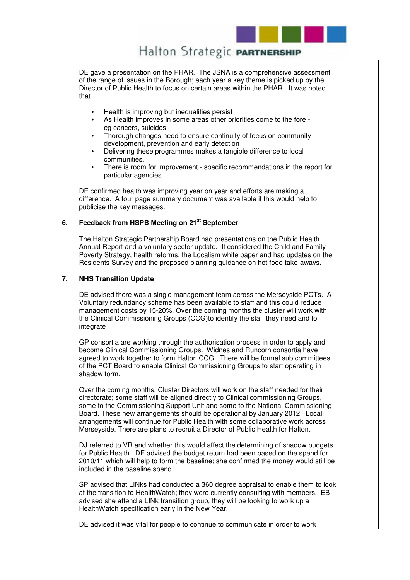

## Halton Strategic PARTNERSHIP

|    | DE gave a presentation on the PHAR. The JSNA is a comprehensive assessment<br>of the range of issues in the Borough; each year a key theme is picked up by the<br>Director of Public Health to focus on certain areas within the PHAR. It was noted<br>that                                                                                                                                                                                                                                                                |  |
|----|----------------------------------------------------------------------------------------------------------------------------------------------------------------------------------------------------------------------------------------------------------------------------------------------------------------------------------------------------------------------------------------------------------------------------------------------------------------------------------------------------------------------------|--|
|    | Health is improving but inequalities persist<br>$\bullet$<br>As Health improves in some areas other priorities come to the fore -<br>$\bullet$<br>eg cancers, suicides.<br>Thorough changes need to ensure continuity of focus on community<br>$\bullet$<br>development, prevention and early detection<br>Delivering these programmes makes a tangible difference to local<br>$\bullet$<br>communities.<br>There is room for improvement - specific recommendations in the report for<br>$\bullet$<br>particular agencies |  |
|    | DE confirmed health was improving year on year and efforts are making a<br>difference. A four page summary document was available if this would help to<br>publicise the key messages.                                                                                                                                                                                                                                                                                                                                     |  |
| 6. | Feedback from HSPB Meeting on 21 <sup>st</sup> September                                                                                                                                                                                                                                                                                                                                                                                                                                                                   |  |
|    | The Halton Strategic Partnership Board had presentations on the Public Health<br>Annual Report and a voluntary sector update. It considered the Child and Family<br>Poverty Strategy, health reforms, the Localism white paper and had updates on the<br>Residents Survey and the proposed planning guidance on hot food take-aways.                                                                                                                                                                                       |  |
| 7. | <b>NHS Transition Update</b>                                                                                                                                                                                                                                                                                                                                                                                                                                                                                               |  |
|    | DE advised there was a single management team across the Merseyside PCTs. A<br>Voluntary redundancy scheme has been available to staff and this could reduce<br>management costs by 15-20%. Over the coming months the cluster will work with<br>the Clinical Commissioning Groups (CCG)to identify the staff they need and to<br>integrate                                                                                                                                                                                |  |
|    | GP consortia are working through the authorisation process in order to apply and<br>become Clinical Commissioning Groups. Widnes and Runcorn consortia have<br>agreed to work together to form Halton CCG. There will be formal sub committees<br>of the PCT Board to enable Clinical Commissioning Groups to start operating in<br>shadow form.                                                                                                                                                                           |  |
|    | Over the coming months, Cluster Directors will work on the staff needed for their<br>directorate; some staff will be aligned directly to Clinical commissioning Groups,<br>some to the Commissioning Support Unit and some to the National Commissioning<br>Board. These new arrangements should be operational by January 2012. Local<br>arrangements will continue for Public Health with some collaborative work across<br>Merseyside. There are plans to recruit a Director of Public Health for Halton.               |  |
|    | DJ referred to VR and whether this would affect the determining of shadow budgets<br>for Public Health. DE advised the budget return had been based on the spend for<br>2010/11 which will help to form the baseline; she confirmed the money would still be<br>included in the baseline spend.                                                                                                                                                                                                                            |  |
|    | SP advised that LINks had conducted a 360 degree appraisal to enable them to look<br>at the transition to HealthWatch; they were currently consulting with members. EB<br>advised she attend a LINk transition group, they will be looking to work up a<br>HealthWatch specification early in the New Year.                                                                                                                                                                                                                |  |
|    | DE advised it was vital for people to continue to communicate in order to work                                                                                                                                                                                                                                                                                                                                                                                                                                             |  |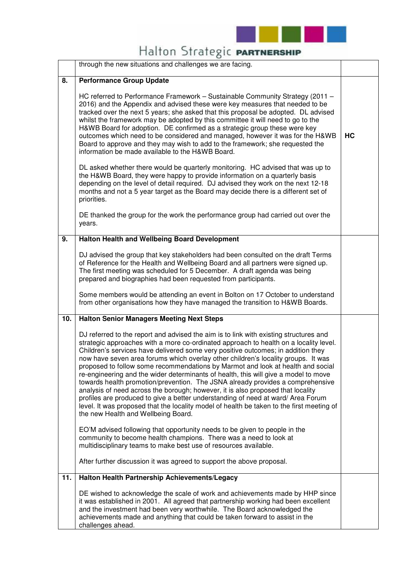

## Halton Strategic PARTNERSHIP

|     | through the new situations and challenges we are facing.                                                                                                                                                                                                                                                                                                                                                                                                                                                                                                                                                                                                                                                                                                                                                                                                                                                                       |    |
|-----|--------------------------------------------------------------------------------------------------------------------------------------------------------------------------------------------------------------------------------------------------------------------------------------------------------------------------------------------------------------------------------------------------------------------------------------------------------------------------------------------------------------------------------------------------------------------------------------------------------------------------------------------------------------------------------------------------------------------------------------------------------------------------------------------------------------------------------------------------------------------------------------------------------------------------------|----|
| 8.  | <b>Performance Group Update</b>                                                                                                                                                                                                                                                                                                                                                                                                                                                                                                                                                                                                                                                                                                                                                                                                                                                                                                |    |
|     | HC referred to Performance Framework - Sustainable Community Strategy (2011 -<br>2016) and the Appendix and advised these were key measures that needed to be<br>tracked over the next 5 years; she asked that this proposal be adopted. DL advised<br>whilst the framework may be adopted by this committee it will need to go to the<br>H&WB Board for adoption. DE confirmed as a strategic group these were key<br>outcomes which need to be considered and managed, however it was for the H&WB<br>Board to approve and they may wish to add to the framework; she requested the<br>information be made available to the H&WB Board.                                                                                                                                                                                                                                                                                      | HC |
|     | DL asked whether there would be quarterly monitoring. HC advised that was up to<br>the H&WB Board, they were happy to provide information on a quarterly basis<br>depending on the level of detail required. DJ advised they work on the next 12-18<br>months and not a 5 year target as the Board may decide there is a different set of<br>priorities.                                                                                                                                                                                                                                                                                                                                                                                                                                                                                                                                                                       |    |
|     | DE thanked the group for the work the performance group had carried out over the<br>years.                                                                                                                                                                                                                                                                                                                                                                                                                                                                                                                                                                                                                                                                                                                                                                                                                                     |    |
| 9.  | Halton Health and Wellbeing Board Development                                                                                                                                                                                                                                                                                                                                                                                                                                                                                                                                                                                                                                                                                                                                                                                                                                                                                  |    |
|     | DJ advised the group that key stakeholders had been consulted on the draft Terms<br>of Reference for the Health and Wellbeing Board and all partners were signed up.<br>The first meeting was scheduled for 5 December. A draft agenda was being<br>prepared and biographies had been requested from participants.<br>Some members would be attending an event in Bolton on 17 October to understand<br>from other organisations how they have managed the transition to H&WB Boards.                                                                                                                                                                                                                                                                                                                                                                                                                                          |    |
| 10. | <b>Halton Senior Managers Meeting Next Steps</b>                                                                                                                                                                                                                                                                                                                                                                                                                                                                                                                                                                                                                                                                                                                                                                                                                                                                               |    |
|     | DJ referred to the report and advised the aim is to link with existing structures and<br>strategic approaches with a more co-ordinated approach to health on a locality level.<br>Children's services have delivered some very positive outcomes; in addition they<br>now have seven area forums which overlay other children's locality groups. It was<br>proposed to follow some recommendations by Marmot and look at health and social<br>re-engineering and the wider determinants of health, this will give a model to move<br>towards health promotion/prevention. The JSNA already provides a comprehensive<br>analysis of need across the borough; however, it is also proposed that locality<br>profiles are produced to give a better understanding of need at ward/ Area Forum<br>level. It was proposed that the locality model of health be taken to the first meeting of<br>the new Health and Wellbeing Board. |    |
|     | EO'M advised following that opportunity needs to be given to people in the<br>community to become health champions. There was a need to look at<br>multidisciplinary teams to make best use of resources available.                                                                                                                                                                                                                                                                                                                                                                                                                                                                                                                                                                                                                                                                                                            |    |
|     | After further discussion it was agreed to support the above proposal.                                                                                                                                                                                                                                                                                                                                                                                                                                                                                                                                                                                                                                                                                                                                                                                                                                                          |    |
| 11. | Halton Health Partnership Achievements/Legacy                                                                                                                                                                                                                                                                                                                                                                                                                                                                                                                                                                                                                                                                                                                                                                                                                                                                                  |    |
|     | DE wished to acknowledge the scale of work and achievements made by HHP since<br>it was established in 2001. All agreed that partnership working had been excellent<br>and the investment had been very worthwhile. The Board acknowledged the<br>achievements made and anything that could be taken forward to assist in the<br>challenges ahead.                                                                                                                                                                                                                                                                                                                                                                                                                                                                                                                                                                             |    |